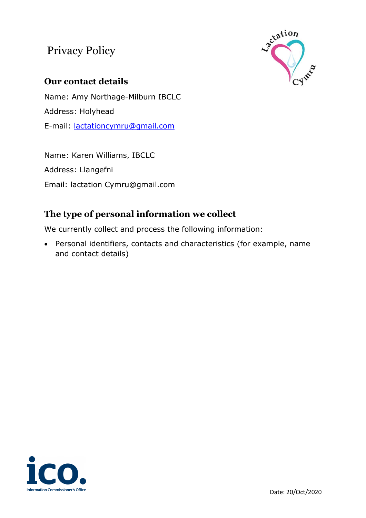# Privacy Policy



## **Our contact details**

Name: Amy Northage-Milburn IBCLC Address: Holyhead E-mail: [lactationcymru@gmail.com](mailto:lactationcymru@gmail.com)

Name: Karen Williams, IBCLC Address: Llangefni Email: lactation Cymru@gmail.com

# **The type of personal information we collect**

We currently collect and process the following information:

• Personal identifiers, contacts and characteristics (for example, name and contact details)

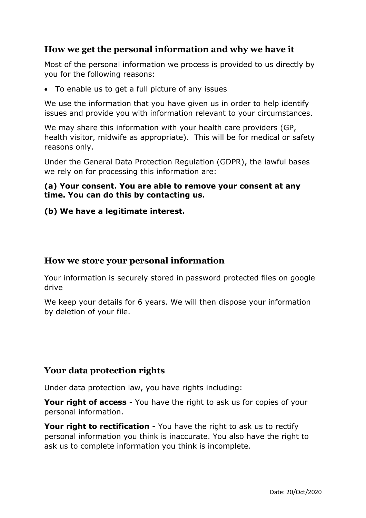### **How we get the personal information and why we have it**

Most of the personal information we process is provided to us directly by you for the following reasons:

• To enable us to get a full picture of any issues

We use the information that you have given us in order to help identify issues and provide you with information relevant to your circumstances.

We may share this information with your health care providers (GP, health visitor, midwife as appropriate). This will be for medical or safety reasons only.

Under the General Data Protection Regulation (GDPR), the lawful bases we rely on for processing this information are:

#### **(a) Your consent. You are able to remove your consent at any time. You can do this by contacting us.**

#### **(b) We have a legitimate interest.**

#### **How we store your personal information**

Your information is securely stored in password protected files on google drive

We keep your details for 6 years. We will then dispose your information by deletion of your file.

#### **Your data protection rights**

Under data protection law, you have rights including:

**Your right of access** - You have the right to ask us for copies of your personal information.

**Your right to rectification** - You have the right to ask us to rectify personal information you think is inaccurate. You also have the right to ask us to complete information you think is incomplete.